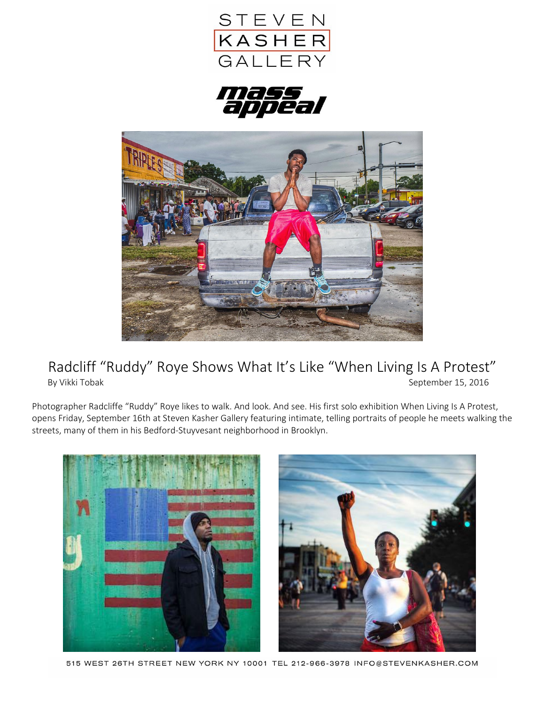





## Radcliff "Ruddy" Roye Shows What It's Like "When Living Is A Protest"<br>By Vikki Tobak<br>September 15, 2016 September 15, 2016

Photographer Radcliffe "Ruddy" Roye likes to walk. And look. And see. His first solo exhibition When Living Is A Protest, opens Friday, September 16th at Steven Kasher Gallery featuring intimate, telling portraits of people he meets walking the streets, many of them in his Bedford-Stuyvesant neighborhood in Brooklyn.



515 WEST 26TH STREET NEW YORK NY 10001 TEL 212-966-3978 INFO@STEVENKASHER.COM